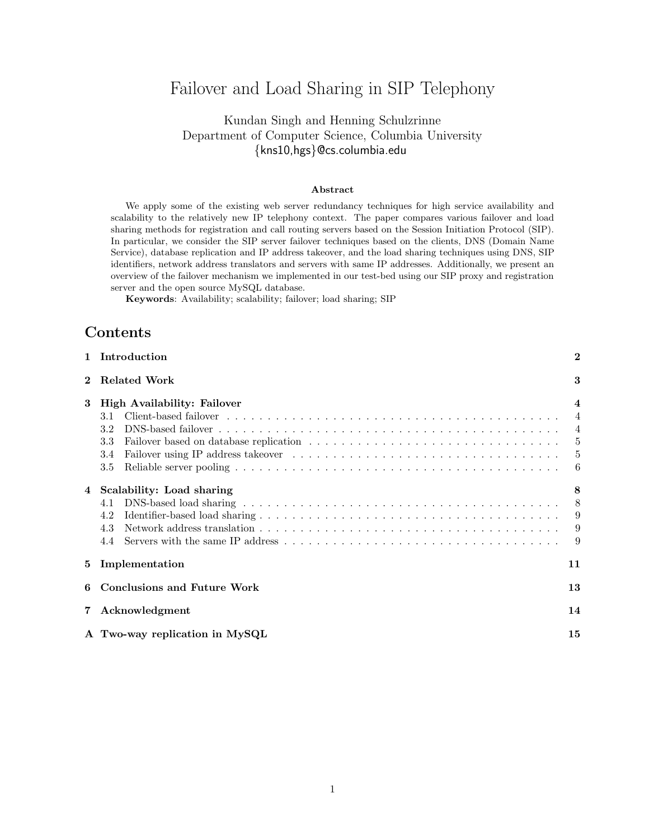# Failover and Load Sharing in SIP Telephony

## Kundan Singh and Henning Schulzrinne Department of Computer Science, Columbia University {kns10,hgs}@cs.columbia.edu

#### **Abstract**

We apply some of the existing web server redundancy techniques for high service availability and scalability to the relatively new IP telephony context. The paper compares various failover and load sharing methods for registration and call routing servers based on the Session Initiation Protocol (SIP). In particular, we consider the SIP server failover techniques based on the clients, DNS (Domain Name Service), database replication and IP address takeover, and the load sharing techniques using DNS, SIP identifiers, network address translators and servers with same IP addresses. Additionally, we present an overview of the failover mechanism we implemented in our test-bed using our SIP proxy and registration server and the open source MySQL database.

**Keywords**: Availability; scalability; failover; load sharing; SIP

## **Contents**

| $\mathbf{1}$ | Introduction                                                   | $\boldsymbol{2}$                                                             |
|--------------|----------------------------------------------------------------|------------------------------------------------------------------------------|
| $\mathbf{2}$ | <b>Related Work</b>                                            | 3                                                                            |
| 3            | High Availability: Failover<br>3.1<br>3.2<br>3.3<br>3.4<br>3.5 | $\overline{\mathbf{4}}$<br>$\overline{4}$<br>4<br>- 5<br>$\overline{5}$<br>6 |
| 4            | Scalability: Load sharing<br>4.1<br>4.2<br>4.3<br>4.4          | 8<br>8<br>-9<br>9<br>-9                                                      |
| 5            | Implementation                                                 | 11                                                                           |
| 6            | <b>Conclusions and Future Work</b>                             | 13                                                                           |
| 7            | Acknowledgment                                                 | 14                                                                           |
|              | A Two-way replication in MySQL                                 | 15                                                                           |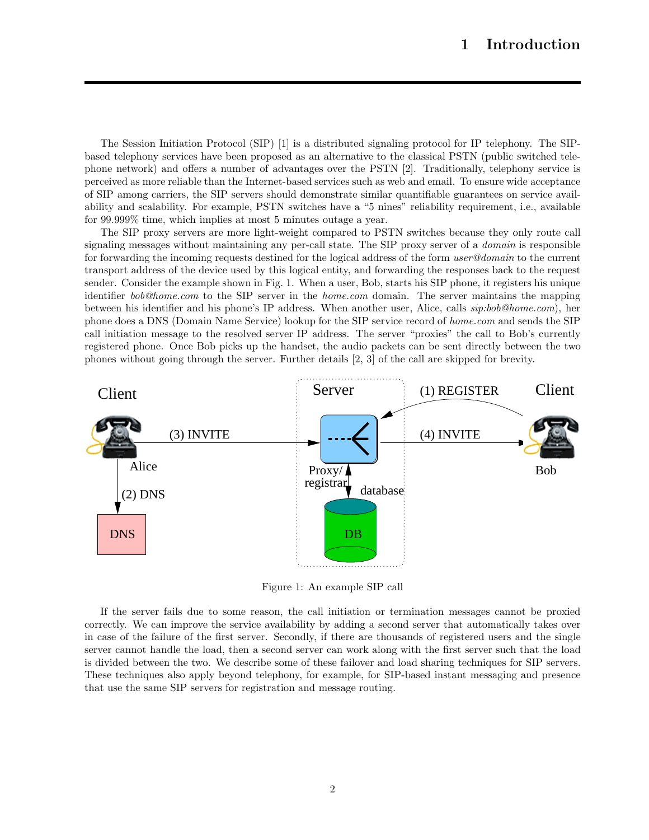The Session Initiation Protocol (SIP) [1] is a distributed signaling protocol for IP telephony. The SIPbased telephony services have been proposed as an alternative to the classical PSTN (public switched telephone network) and offers a number of advantages over the PSTN [2]. Traditionally, telephony service is perceived as more reliable than the Internet-based services such as web and email. To ensure wide acceptance of SIP among carriers, the SIP servers should demonstrate similar quantifiable guarantees on service availability and scalability. For example, PSTN switches have a "5 nines" reliability requirement, i.e., available for 99.999% time, which implies at most 5 minutes outage a year.

The SIP proxy servers are more light-weight compared to PSTN switches because they only route call signaling messages without maintaining any per-call state. The SIP proxy server of a *domain* is responsible for forwarding the incoming requests destined for the logical address of the form *user@domain* to the current transport address of the device used by this logical entity, and forwarding the responses back to the request sender. Consider the example shown in Fig. 1. When a user, Bob, starts his SIP phone, it registers his unique identifier *bob@home.com* to the SIP server in the *home.com* domain. The server maintains the mapping between his identifier and his phone's IP address. When another user, Alice, calls *sip:bob@home.com*), her phone does a DNS (Domain Name Service) lookup for the SIP service record of *home.com* and sends the SIP call initiation message to the resolved server IP address. The server "proxies" the call to Bob's currently registered phone. Once Bob picks up the handset, the audio packets can be sent directly between the two phones without going through the server. Further details [2, 3] of the call are skipped for brevity.



Figure 1: An example SIP call

If the server fails due to some reason, the call initiation or termination messages cannot be proxied correctly. We can improve the service availability by adding a second server that automatically takes over in case of the failure of the first server. Secondly, if there are thousands of registered users and the single server cannot handle the load, then a second server can work along with the first server such that the load is divided between the two. We describe some of these failover and load sharing techniques for SIP servers. These techniques also apply beyond telephony, for example, for SIP-based instant messaging and presence that use the same SIP servers for registration and message routing.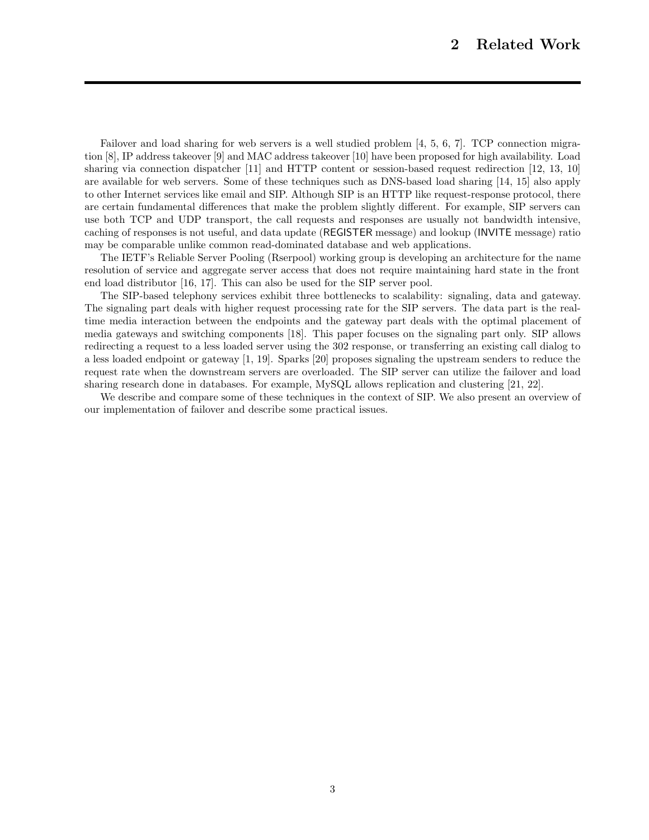Failover and load sharing for web servers is a well studied problem [4, 5, 6, 7]. TCP connection migration [8], IP address takeover [9] and MAC address takeover [10] have been proposed for high availability. Load sharing via connection dispatcher [11] and HTTP content or session-based request redirection [12, 13, 10] are available for web servers. Some of these techniques such as DNS-based load sharing [14, 15] also apply to other Internet services like email and SIP. Although SIP is an HTTP like request-response protocol, there are certain fundamental differences that make the problem slightly different. For example, SIP servers can use both TCP and UDP transport, the call requests and responses are usually not bandwidth intensive, caching of responses is not useful, and data update (REGISTER message) and lookup (INVITE message) ratio may be comparable unlike common read-dominated database and web applications.

The IETF's Reliable Server Pooling (Rserpool) working group is developing an architecture for the name resolution of service and aggregate server access that does not require maintaining hard state in the front end load distributor [16, 17]. This can also be used for the SIP server pool.

The SIP-based telephony services exhibit three bottlenecks to scalability: signaling, data and gateway. The signaling part deals with higher request processing rate for the SIP servers. The data part is the realtime media interaction between the endpoints and the gateway part deals with the optimal placement of media gateways and switching components [18]. This paper focuses on the signaling part only. SIP allows redirecting a request to a less loaded server using the 302 response, or transferring an existing call dialog to a less loaded endpoint or gateway [1, 19]. Sparks [20] proposes signaling the upstream senders to reduce the request rate when the downstream servers are overloaded. The SIP server can utilize the failover and load sharing research done in databases. For example, MySQL allows replication and clustering [21, 22].

We describe and compare some of these techniques in the context of SIP. We also present an overview of our implementation of failover and describe some practical issues.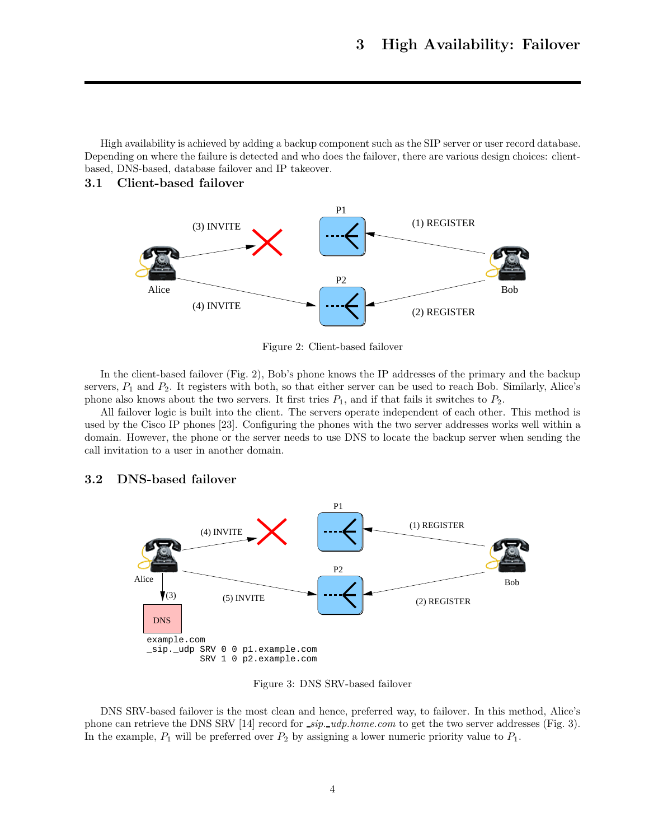High availability is achieved by adding a backup component such as the SIP server or user record database. Depending on where the failure is detected and who does the failover, there are various design choices: clientbased, DNS-based, database failover and IP takeover.

## **3.1 Client-based failover**



Figure 2: Client-based failover

In the client-based failover (Fig. 2), Bob's phone knows the IP addresses of the primary and the backup servers,  $P_1$  and  $P_2$ . It registers with both, so that either server can be used to reach Bob. Similarly, Alice's phone also knows about the two servers. It first tries  $P_1$ , and if that fails it switches to  $P_2$ .

All failover logic is built into the client. The servers operate independent of each other. This method is used by the Cisco IP phones [23]. Configuring the phones with the two server addresses works well within a domain. However, the phone or the server needs to use DNS to locate the backup server when sending the call invitation to a user in another domain.

## **3.2 DNS-based failover**



Figure 3: DNS SRV-based failover

DNS SRV-based failover is the most clean and hence, preferred way, to failover. In this method, Alice's phone can retrieve the DNS SRV [14] record for *sip. udp.home.com* to get the two server addresses (Fig. 3). In the example,  $P_1$  will be preferred over  $P_2$  by assigning a lower numeric priority value to  $P_1$ .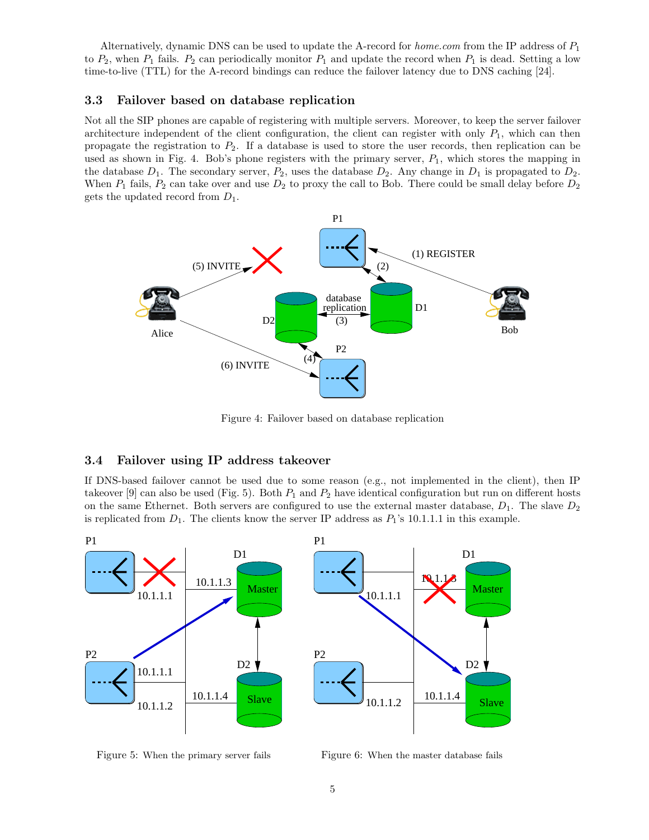Alternatively, dynamic DNS can be used to update the A-record for *home.com* from the IP address of P<sup>1</sup> to  $P_2$ , when  $P_1$  fails.  $P_2$  can periodically monitor  $P_1$  and update the record when  $P_1$  is dead. Setting a low time-to-live (TTL) for the A-record bindings can reduce the failover latency due to DNS caching [24].

### **3.3 Failover based on database replication**

Not all the SIP phones are capable of registering with multiple servers. Moreover, to keep the server failover architecture independent of the client configuration, the client can register with only  $P_1$ , which can then propagate the registration to  $P_2$ . If a database is used to store the user records, then replication can be used as shown in Fig. 4. Bob's phone registers with the primary server,  $P_1$ , which stores the mapping in the database  $D_1$ . The secondary server,  $P_2$ , uses the database  $D_2$ . Any change in  $D_1$  is propagated to  $D_2$ . When  $P_1$  fails,  $P_2$  can take over and use  $D_2$  to proxy the call to Bob. There could be small delay before  $D_2$ gets the updated record from  $D_1$ .



Figure 4: Failover based on database replication

## **3.4 Failover using IP address takeover**

If DNS-based failover cannot be used due to some reason (e.g., not implemented in the client), then IP takeover [9] can also be used (Fig. 5). Both  $P_1$  and  $P_2$  have identical configuration but run on different hosts on the same Ethernet. Both servers are configured to use the external master database,  $D_1$ . The slave  $D_2$ is replicated from  $D_1$ . The clients know the server IP address as  $P_1$ 's 10.1.1.1 in this example.



Figure 5: When the primary server fails

Figure 6: When the master database fails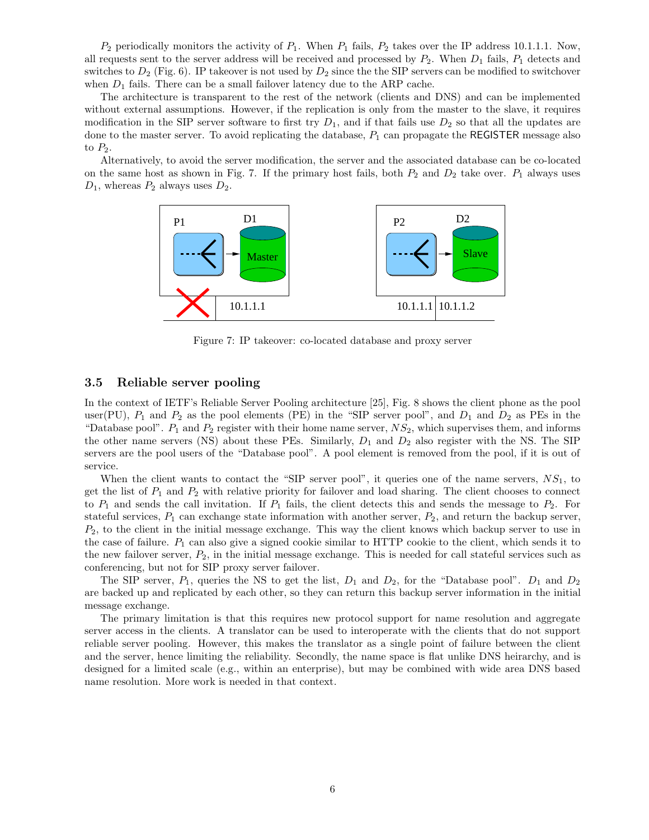$P_2$  periodically monitors the activity of  $P_1$ . When  $P_1$  fails,  $P_2$  takes over the IP address 10.1.1.1. Now, all requests sent to the server address will be received and processed by  $P_2$ . When  $D_1$  fails,  $P_1$  detects and switches to  $D_2$  (Fig. 6). IP takeover is not used by  $D_2$  since the sIP servers can be modified to switchover when  $D_1$  fails. There can be a small failover latency due to the ARP cache.

The architecture is transparent to the rest of the network (clients and DNS) and can be implemented without external assumptions. However, if the replication is only from the master to the slave, it requires modification in the SIP server software to first try  $D_1$ , and if that fails use  $D_2$  so that all the updates are done to the master server. To avoid replicating the database,  $P_1$  can propagate the REGISTER message also to  $P_2$ .

Alternatively, to avoid the server modification, the server and the associated database can be co-located on the same host as shown in Fig. 7. If the primary host fails, both  $P_2$  and  $D_2$  take over.  $P_1$  always uses  $D_1$ , whereas  $P_2$  always uses  $D_2$ .



Figure 7: IP takeover: co-located database and proxy server

### **3.5 Reliable server pooling**

In the context of IETF's Reliable Server Pooling architecture [25], Fig. 8 shows the client phone as the pool user(PU),  $P_1$  and  $P_2$  as the pool elements (PE) in the "SIP server pool", and  $D_1$  and  $D_2$  as PEs in the "Database pool".  $P_1$  and  $P_2$  register with their home name server,  $NS_2$ , which supervises them, and informs the other name servers (NS) about these PEs. Similarly,  $D_1$  and  $D_2$  also register with the NS. The SIP servers are the pool users of the "Database pool". A pool element is removed from the pool, if it is out of service.

When the client wants to contact the "SIP server pool", it queries one of the name servers,  $NS<sub>1</sub>$ , to get the list of  $P_1$  and  $P_2$  with relative priority for failover and load sharing. The client chooses to connect to  $P_1$  and sends the call invitation. If  $P_1$  fails, the client detects this and sends the message to  $P_2$ . For stateful services,  $P_1$  can exchange state information with another server,  $P_2$ , and return the backup server,  $P_2$ , to the client in the initial message exchange. This way the client knows which backup server to use in the case of failure.  $P_1$  can also give a signed cookie similar to HTTP cookie to the client, which sends it to the new failover server,  $P_2$ , in the initial message exchange. This is needed for call stateful services such as conferencing, but not for SIP proxy server failover.

The SIP server,  $P_1$ , queries the NS to get the list,  $D_1$  and  $D_2$ , for the "Database pool".  $D_1$  and  $D_2$ are backed up and replicated by each other, so they can return this backup server information in the initial message exchange.

The primary limitation is that this requires new protocol support for name resolution and aggregate server access in the clients. A translator can be used to interoperate with the clients that do not support reliable server pooling. However, this makes the translator as a single point of failure between the client and the server, hence limiting the reliability. Secondly, the name space is flat unlike DNS heirarchy, and is designed for a limited scale (e.g., within an enterprise), but may be combined with wide area DNS based name resolution. More work is needed in that context.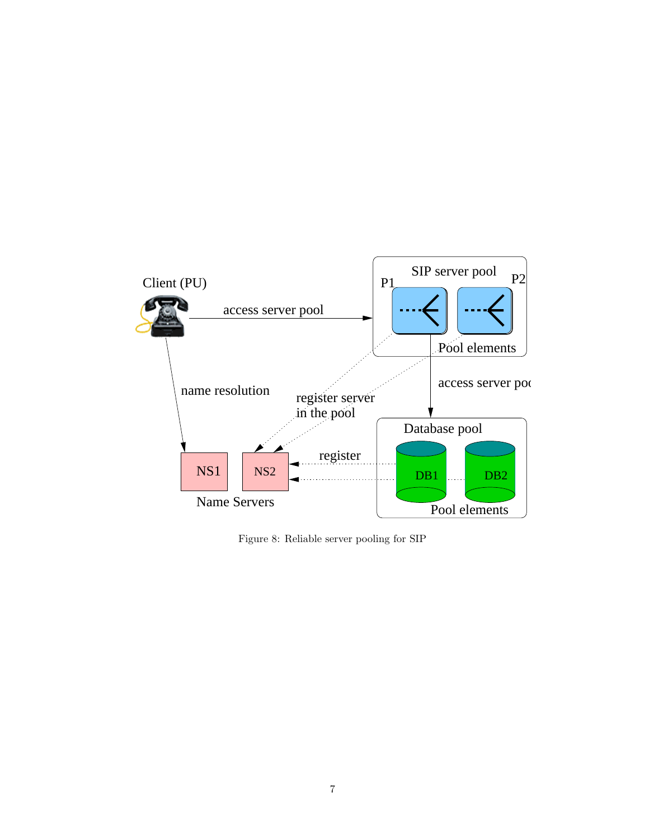

Figure 8: Reliable server pooling for SIP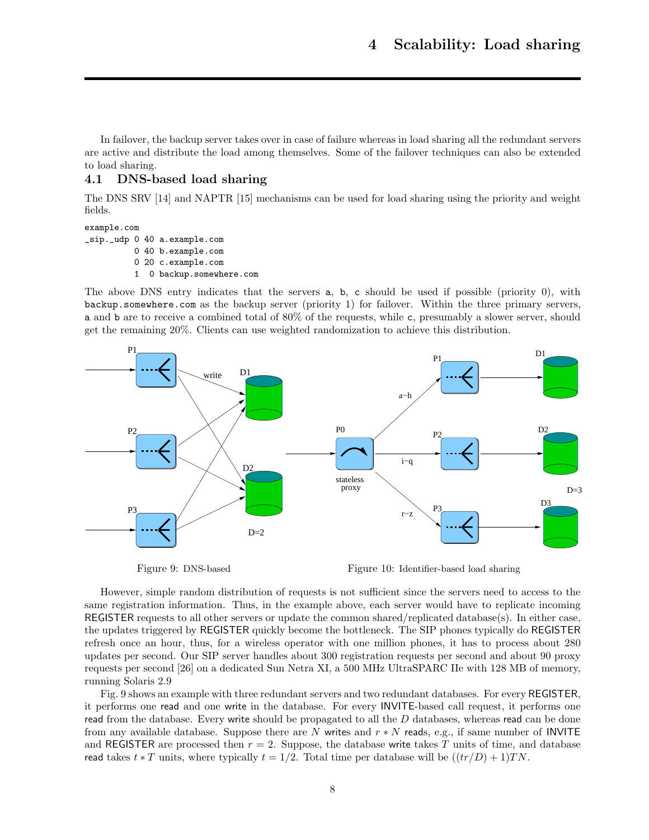In failover, the backup server takes over in case of failure whereas in load sharing all the redundant servers are active and distribute the load among themselves. Some of the failover techniques can also be extended to load sharing.

## **4.1 DNS-based load sharing**

The DNS SRV [14] and NAPTR [15] mechanisms can be used for load sharing using the priority and weight fields.

```
example.com
_sip._udp 0 40 a.example.com
          0 40 b.example.com
          0 20 c.example.com
          1 0 backup.somewhere.com
```
The above DNS entry indicates that the servers a, b, c should be used if possible (priority 0), with backup.somewhere.com as the backup server (priority 1) for failover. Within the three primary servers, a and b are to receive a combined total of 80% of the requests, while c, presumably a slower server, should get the remaining 20%. Clients can use weighted randomization to achieve this distribution.



Figure 9: DNS-based

Figure 10: Identifier-based load sharing

However, simple random distribution of requests is not sufficient since the servers need to access to the same registration information. Thus, in the example above, each server would have to replicate incoming REGISTER requests to all other servers or update the common shared/replicated database(s). In either case, the updates triggered by REGISTER quickly become the bottleneck. The SIP phones typically do REGISTER refresh once an hour, thus, for a wireless operator with one million phones, it has to process about 280 updates per second. Our SIP server handles about 300 registration requests per second and about 90 proxy requests per second [26] on a dedicated Sun Netra XI, a 500 MHz UltraSPARC IIe with 128 MB of memory, running Solaris 2.9

Fig. 9 shows an example with three redundant servers and two redundant databases. For every REGISTER, it performs one read and one write in the database. For every INVITE-based call request, it performs one read from the database. Every write should be propagated to all the  $D$  databases, whereas read can be done from any available database. Suppose there are N writes and  $r * N$  reads, e.g., if same number of INVITE and REGISTER are processed then  $r = 2$ . Suppose, the database write takes T units of time, and database read takes  $t * T$  units, where typically  $t = 1/2$ . Total time per database will be  $((tr/D) + 1)TN$ .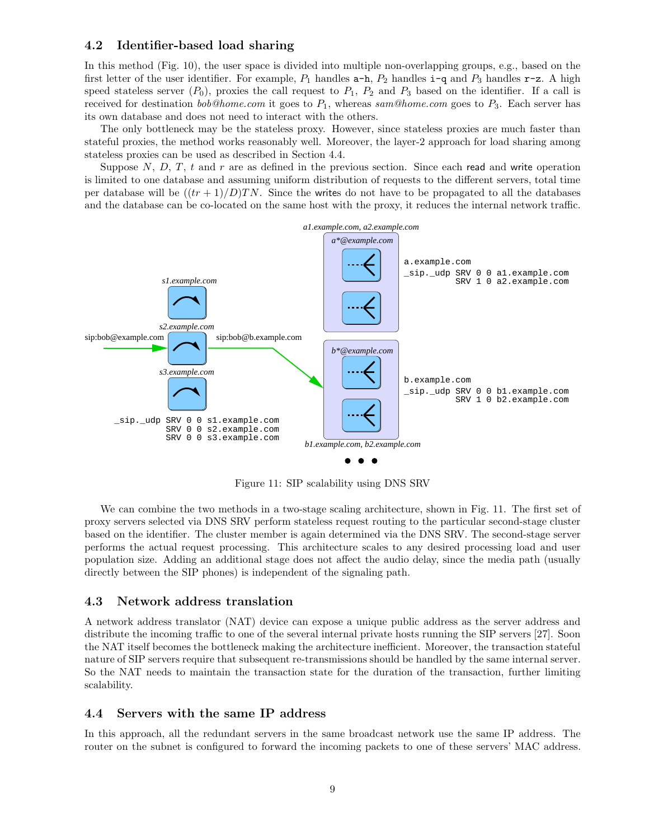### **4.2 Identifier-based load sharing**

In this method (Fig. 10), the user space is divided into multiple non-overlapping groups, e.g., based on the first letter of the user identifier. For example,  $P_1$  handles  $a-h$ ,  $P_2$  handles  $i-q$  and  $P_3$  handles  $r-z$ . A high speed stateless server  $(P_0)$ , proxies the call request to  $P_1$ ,  $P_2$  and  $P_3$  based on the identifier. If a call is received for destination *bob@home.com* it goes to  $P_1$ , whereas *sam@home.com* goes to  $P_3$ . Each server has its own database and does not need to interact with the others.

The only bottleneck may be the stateless proxy. However, since stateless proxies are much faster than stateful proxies, the method works reasonably well. Moreover, the layer-2 approach for load sharing among stateless proxies can be used as described in Section 4.4.

Suppose  $N$ ,  $D$ ,  $T$ ,  $t$  and  $r$  are as defined in the previous section. Since each read and write operation is limited to one database and assuming uniform distribution of requests to the different servers, total time per database will be  $((tr+1)/D)TN$ . Since the writes do not have to be propagated to all the databases and the database can be co-located on the same host with the proxy, it reduces the internal network traffic.



Figure 11: SIP scalability using DNS SRV

We can combine the two methods in a two-stage scaling architecture, shown in Fig. 11. The first set of proxy servers selected via DNS SRV perform stateless request routing to the particular second-stage cluster based on the identifier. The cluster member is again determined via the DNS SRV. The second-stage server performs the actual request processing. This architecture scales to any desired processing load and user population size. Adding an additional stage does not affect the audio delay, since the media path (usually directly between the SIP phones) is independent of the signaling path.

### **4.3 Network address translation**

A network address translator (NAT) device can expose a unique public address as the server address and distribute the incoming traffic to one of the several internal private hosts running the SIP servers [27]. Soon the NAT itself becomes the bottleneck making the architecture inefficient. Moreover, the transaction stateful nature of SIP servers require that subsequent re-transmissions should be handled by the same internal server. So the NAT needs to maintain the transaction state for the duration of the transaction, further limiting scalability.

#### **4.4 Servers with the same IP address**

In this approach, all the redundant servers in the same broadcast network use the same IP address. The router on the subnet is configured to forward the incoming packets to one of these servers' MAC address.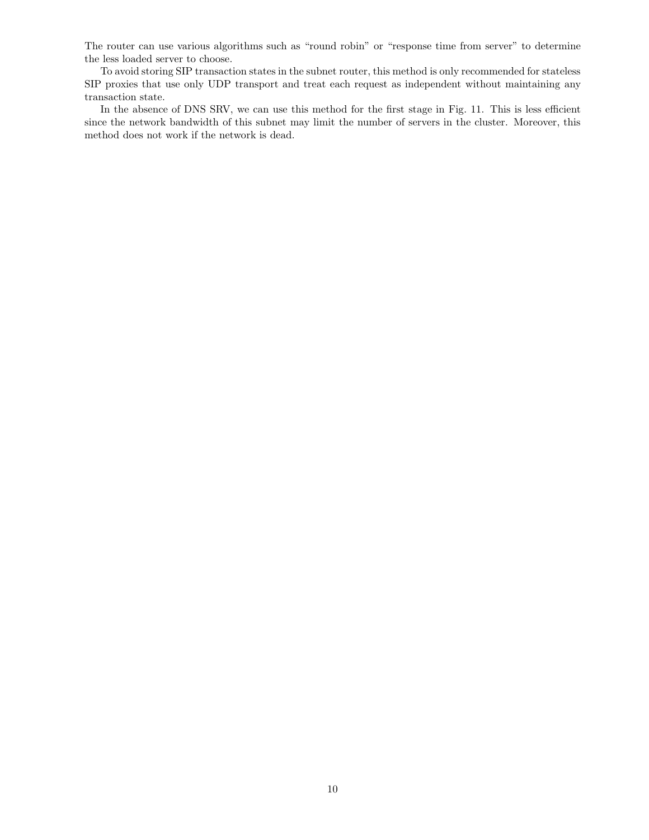The router can use various algorithms such as "round robin" or "response time from server" to determine the less loaded server to choose.

To avoid storing SIP transaction states in the subnet router, this method is only recommended for stateless SIP proxies that use only UDP transport and treat each request as independent without maintaining any transaction state.

In the absence of DNS SRV, we can use this method for the first stage in Fig. 11. This is less efficient since the network bandwidth of this subnet may limit the number of servers in the cluster. Moreover, this method does not work if the network is dead.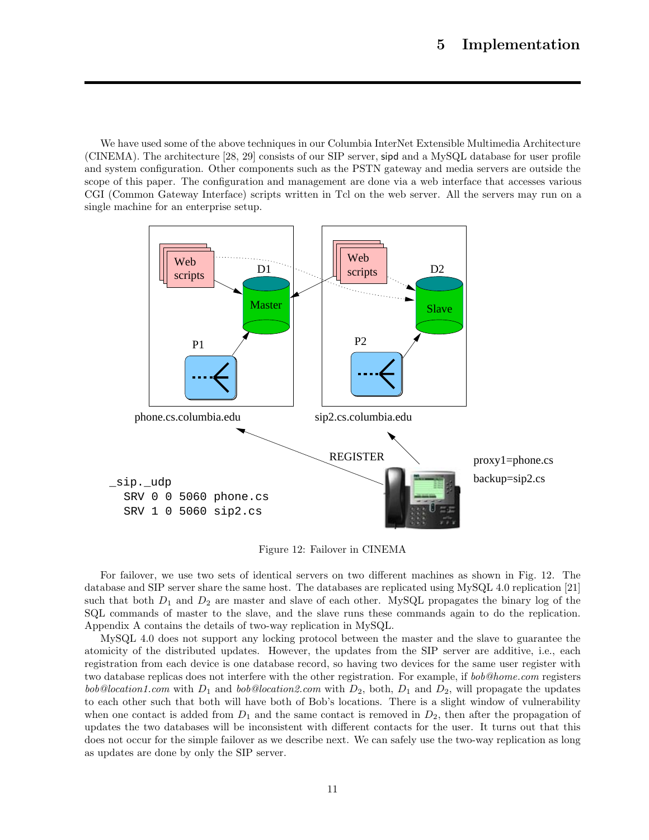We have used some of the above techniques in our Columbia InterNet Extensible Multimedia Architecture (CINEMA). The architecture [28, 29] consists of our SIP server, sipd and a MySQL database for user profile and system configuration. Other components such as the PSTN gateway and media servers are outside the scope of this paper. The configuration and management are done via a web interface that accesses various CGI (Common Gateway Interface) scripts written in Tcl on the web server. All the servers may run on a single machine for an enterprise setup.



Figure 12: Failover in CINEMA

For failover, we use two sets of identical servers on two different machines as shown in Fig. 12. The database and SIP server share the same host. The databases are replicated using MySQL 4.0 replication [21] such that both  $D_1$  and  $D_2$  are master and slave of each other. MySQL propagates the binary log of the SQL commands of master to the slave, and the slave runs these commands again to do the replication. Appendix A contains the details of two-way replication in MySQL.

MySQL 4.0 does not support any locking protocol between the master and the slave to guarantee the atomicity of the distributed updates. However, the updates from the SIP server are additive, i.e., each registration from each device is one database record, so having two devices for the same user register with two database replicas does not interfere with the other registration. For example, if *bob@home.com* registers  $bob@location1.com$  with  $D_1$  and  $bob@location2.com$  with  $D_2$ , both,  $D_1$  and  $D_2$ , will propagate the updates to each other such that both will have both of Bob's locations. There is a slight window of vulnerability when one contact is added from  $D_1$  and the same contact is removed in  $D_2$ , then after the propagation of updates the two databases will be inconsistent with different contacts for the user. It turns out that this does not occur for the simple failover as we describe next. We can safely use the two-way replication as long as updates are done by only the SIP server.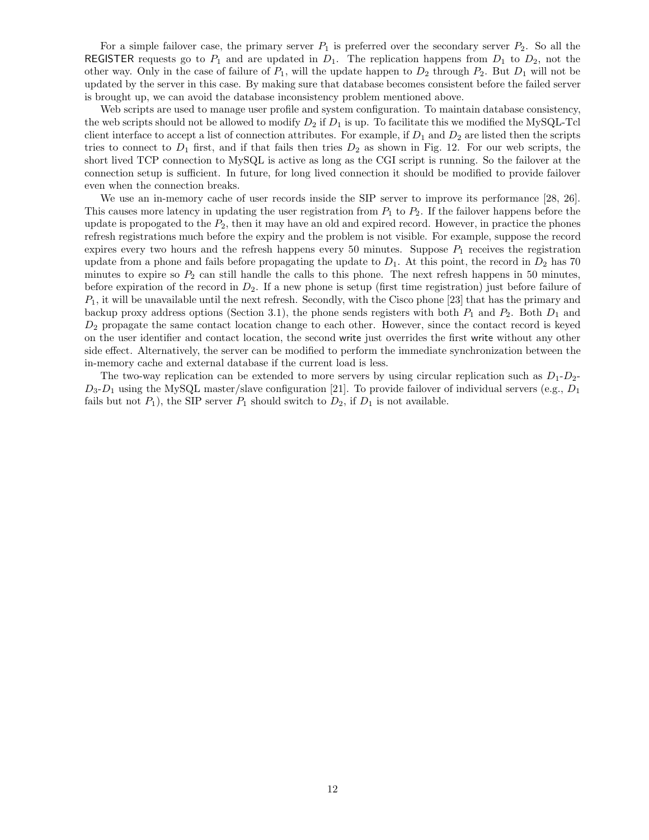For a simple failover case, the primary server  $P_1$  is preferred over the secondary server  $P_2$ . So all the REGISTER requests go to  $P_1$  and are updated in  $D_1$ . The replication happens from  $D_1$  to  $D_2$ , not the other way. Only in the case of failure of  $P_1$ , will the update happen to  $D_2$  through  $P_2$ . But  $D_1$  will not be updated by the server in this case. By making sure that database becomes consistent before the failed server is brought up, we can avoid the database inconsistency problem mentioned above.

Web scripts are used to manage user profile and system configuration. To maintain database consistency, the web scripts should not be allowed to modify  $D_2$  if  $D_1$  is up. To facilitate this we modified the MySQL-Tcl client interface to accept a list of connection attributes. For example, if  $D_1$  and  $D_2$  are listed then the scripts tries to connect to  $D_1$  first, and if that fails then tries  $D_2$  as shown in Fig. 12. For our web scripts, the short lived TCP connection to MySQL is active as long as the CGI script is running. So the failover at the connection setup is sufficient. In future, for long lived connection it should be modified to provide failover even when the connection breaks.

We use an in-memory cache of user records inside the SIP server to improve its performance [28, 26]. This causes more latency in updating the user registration from  $P_1$  to  $P_2$ . If the failover happens before the update is propogated to the  $P_2$ , then it may have an old and expired record. However, in practice the phones refresh registrations much before the expiry and the problem is not visible. For example, suppose the record expires every two hours and the refresh happens every 50 minutes. Suppose  $P_1$  receives the registration update from a phone and fails before propagating the update to  $D_1$ . At this point, the record in  $D_2$  has 70 minutes to expire so  $P_2$  can still handle the calls to this phone. The next refresh happens in 50 minutes, before expiration of the record in  $D_2$ . If a new phone is setup (first time registration) just before failure of  $P_1$ , it will be unavailable until the next refresh. Secondly, with the Cisco phone [23] that has the primary and backup proxy address options (Section 3.1), the phone sends registers with both  $P_1$  and  $P_2$ . Both  $D_1$  and  $D_2$  propagate the same contact location change to each other. However, since the contact record is keyed on the user identifier and contact location, the second write just overrides the first write without any other side effect. Alternatively, the server can be modified to perform the immediate synchronization between the in-memory cache and external database if the current load is less.

The two-way replication can be extended to more servers by using circular replication such as  $D_1 - D_2$ - $D_3-D_1$  using the MySQL master/slave configuration [21]. To provide failover of individual servers (e.g.,  $D_1$ ) fails but not  $P_1$ ), the SIP server  $P_1$  should switch to  $D_2$ , if  $D_1$  is not available.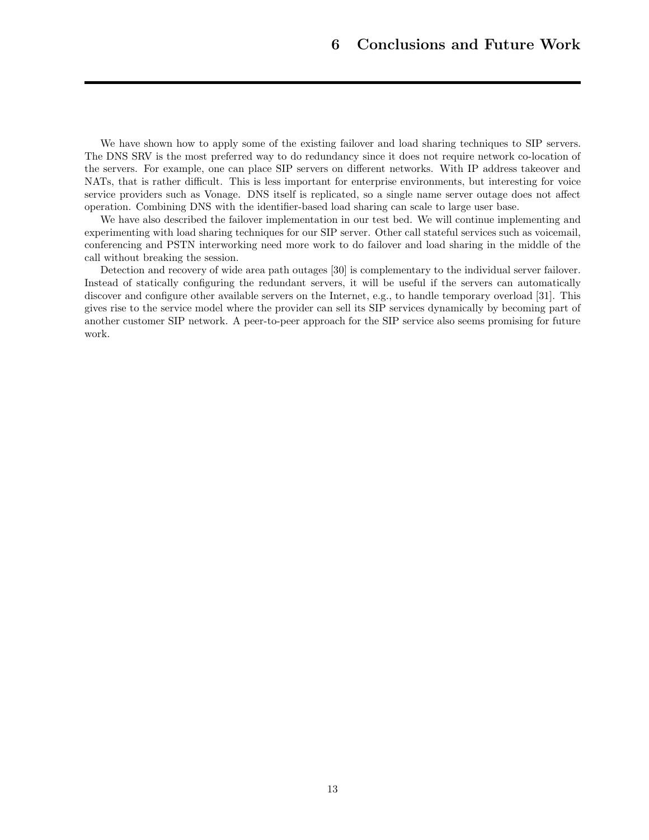We have shown how to apply some of the existing failover and load sharing techniques to SIP servers. The DNS SRV is the most preferred way to do redundancy since it does not require network co-location of the servers. For example, one can place SIP servers on different networks. With IP address takeover and NATs, that is rather difficult. This is less important for enterprise environments, but interesting for voice service providers such as Vonage. DNS itself is replicated, so a single name server outage does not affect operation. Combining DNS with the identifier-based load sharing can scale to large user base.

We have also described the failover implementation in our test bed. We will continue implementing and experimenting with load sharing techniques for our SIP server. Other call stateful services such as voicemail, conferencing and PSTN interworking need more work to do failover and load sharing in the middle of the call without breaking the session.

Detection and recovery of wide area path outages [30] is complementary to the individual server failover. Instead of statically configuring the redundant servers, it will be useful if the servers can automatically discover and configure other available servers on the Internet, e.g., to handle temporary overload [31]. This gives rise to the service model where the provider can sell its SIP services dynamically by becoming part of another customer SIP network. A peer-to-peer approach for the SIP service also seems promising for future work.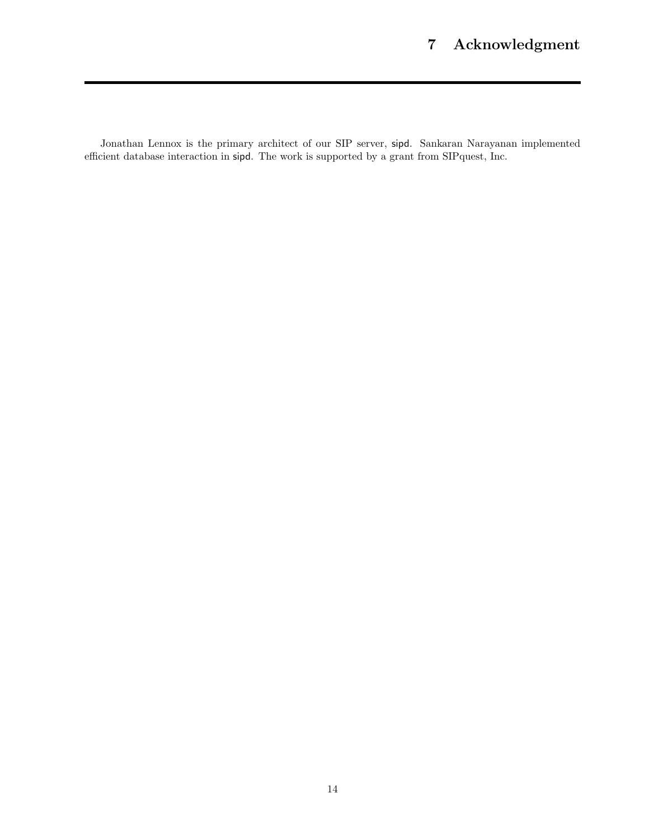Jonathan Lennox is the primary architect of our SIP server, sipd. Sankaran Narayanan implemented efficient database interaction in sipd. The work is supported by a grant from SIPquest, Inc.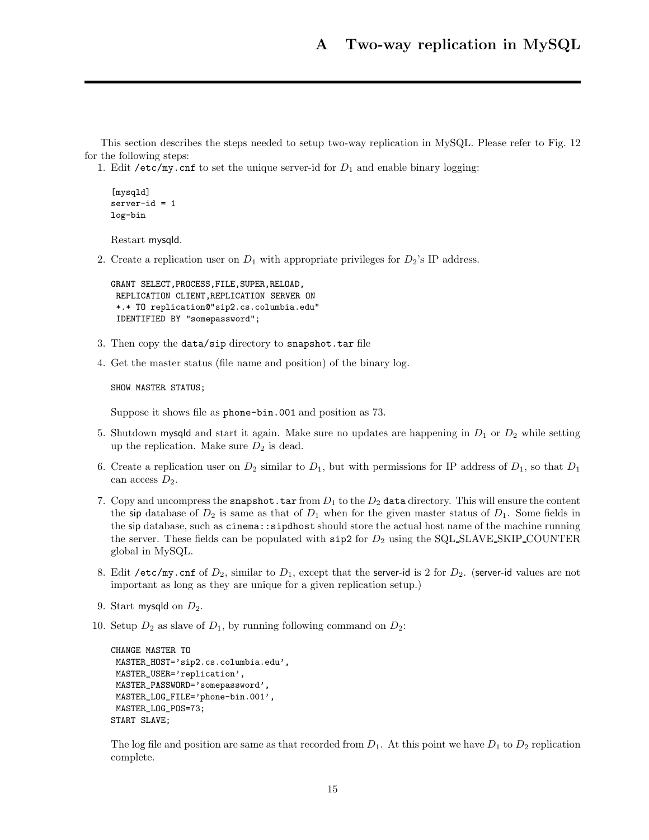This section describes the steps needed to setup two-way replication in MySQL. Please refer to Fig. 12 for the following steps:

1. Edit / $etc/my$ .cnf to set the unique server-id for  $D_1$  and enable binary logging:

```
[mysqld]
server-id = 1log-bin
```
Restart mysqld.

2. Create a replication user on  $D_1$  with appropriate privileges for  $D_2$ 's IP address.

GRANT SELECT,PROCESS,FILE,SUPER,RELOAD, REPLICATION CLIENT,REPLICATION SERVER ON \*.\* TO replication@"sip2.cs.columbia.edu" IDENTIFIED BY "somepassword";

- 3. Then copy the data/sip directory to snapshot.tar file
- 4. Get the master status (file name and position) of the binary log.

SHOW MASTER STATUS;

Suppose it shows file as phone-bin.001 and position as 73.

- 5. Shutdown mysqld and start it again. Make sure no updates are happening in  $D_1$  or  $D_2$  while setting up the replication. Make sure  $D_2$  is dead.
- 6. Create a replication user on  $D_2$  similar to  $D_1$ , but with permissions for IP address of  $D_1$ , so that  $D_1$ can access  $D_2$ .
- 7. Copy and uncompress the snapshot.tar from  $D_1$  to the  $D_2$  data directory. This will ensure the content the sip database of  $D_2$  is same as that of  $D_1$  when for the given master status of  $D_1$ . Some fields in the sip database, such as cinema::sipdhost should store the actual host name of the machine running the server. These fields can be populated with  $\rm{sip2}$  for  $D_2$  using the SQL SLAVE SKIP COUNTER global in MySQL.
- 8. Edit /etc/my.cnf of  $D_2$ , similar to  $D_1$ , except that the server-id is 2 for  $D_2$ . (server-id values are not important as long as they are unique for a given replication setup.)
- 9. Start mysqld on  $D_2$ .
- 10. Setup  $D_2$  as slave of  $D_1$ , by running following command on  $D_2$ :

```
CHANGE MASTER TO
MASTER_HOST='sip2.cs.columbia.edu',
MASTER_USER='replication',
MASTER_PASSWORD='somepassword',
MASTER_LOG_FILE='phone-bin.001',
MASTER_LOG_POS=73;
START SLAVE;
```
The log file and position are same as that recorded from  $D_1$ . At this point we have  $D_1$  to  $D_2$  replication complete.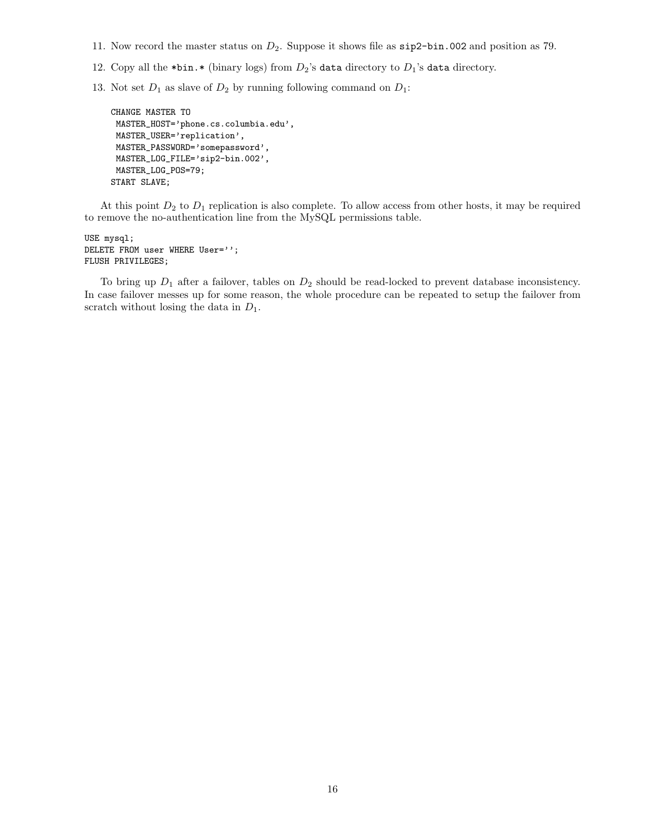- 11. Now record the master status on  $D_2$ . Suppose it shows file as  $\text{sip2-bin}$ .002 and position as 79.
- 12. Copy all the \*bin.\* (binary logs) from  $D_2$ 's data directory to  $D_1$ 's data directory.
- 13. Not set  $D_1$  as slave of  $D_2$  by running following command on  $D_1$ :

```
CHANGE MASTER TO
MASTER_HOST='phone.cs.columbia.edu',
MASTER_USER='replication',
MASTER_PASSWORD='somepassword',
MASTER_LOG_FILE='sip2-bin.002',
MASTER_LOG_POS=79;
START SLAVE;
```
At this point  $D_2$  to  $D_1$  replication is also complete. To allow access from other hosts, it may be required to remove the no-authentication line from the MySQL permissions table.

USE mysql; DELETE FROM user WHERE User=''; FLUSH PRIVILEGES;

To bring up  $D_1$  after a failover, tables on  $D_2$  should be read-locked to prevent database inconsistency. In case failover messes up for some reason, the whole procedure can be repeated to setup the failover from scratch without losing the data in  $D_1$ .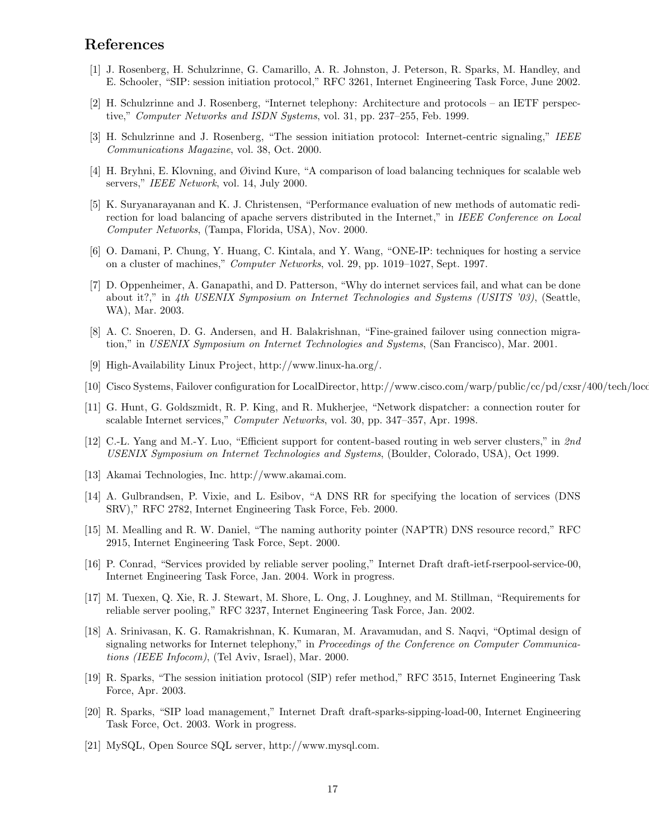## **References**

- [1] J. Rosenberg, H. Schulzrinne, G. Camarillo, A. R. Johnston, J. Peterson, R. Sparks, M. Handley, and E. Schooler, "SIP: session initiation protocol," RFC 3261, Internet Engineering Task Force, June 2002.
- [2] H. Schulzrinne and J. Rosenberg, "Internet telephony: Architecture and protocols an IETF perspective," *Computer Networks and ISDN Systems*, vol. 31, pp. 237–255, Feb. 1999.
- [3] H. Schulzrinne and J. Rosenberg, "The session initiation protocol: Internet-centric signaling," *IEEE Communications Magazine*, vol. 38, Oct. 2000.
- [4] H. Bryhni, E. Klovning, and Øivind Kure, "A comparison of load balancing techniques for scalable web servers," *IEEE Network*, vol. 14, July 2000.
- [5] K. Suryanarayanan and K. J. Christensen, "Performance evaluation of new methods of automatic redirection for load balancing of apache servers distributed in the Internet," in *IEEE Conference on Local Computer Networks*, (Tampa, Florida, USA), Nov. 2000.
- [6] O. Damani, P. Chung, Y. Huang, C. Kintala, and Y. Wang, "ONE-IP: techniques for hosting a service on a cluster of machines," *Computer Networks*, vol. 29, pp. 1019–1027, Sept. 1997.
- [7] D. Oppenheimer, A. Ganapathi, and D. Patterson, "Why do internet services fail, and what can be done about it?," in *4th USENIX Symposium on Internet Technologies and Systems (USITS '03)*, (Seattle, WA), Mar. 2003.
- [8] A. C. Snoeren, D. G. Andersen, and H. Balakrishnan, "Fine-grained failover using connection migration," in *USENIX Symposium on Internet Technologies and Systems*, (San Francisco), Mar. 2001.
- [9] High-Availability Linux Project, http://www.linux-ha.org/.
- [10] Cisco Systems, Failover configuration for LocalDirector, http://www.cisco.com/warp/public/cc/pd/cxsr/400/tech/locd
- [11] G. Hunt, G. Goldszmidt, R. P. King, and R. Mukherjee, "Network dispatcher: a connection router for scalable Internet services," *Computer Networks*, vol. 30, pp. 347–357, Apr. 1998.
- [12] C.-L. Yang and M.-Y. Luo, "Efficient support for content-based routing in web server clusters," in *2nd USENIX Symposium on Internet Technologies and Systems*, (Boulder, Colorado, USA), Oct 1999.
- [13] Akamai Technologies, Inc. http://www.akamai.com.
- [14] A. Gulbrandsen, P. Vixie, and L. Esibov, "A DNS RR for specifying the location of services (DNS SRV)," RFC 2782, Internet Engineering Task Force, Feb. 2000.
- [15] M. Mealling and R. W. Daniel, "The naming authority pointer (NAPTR) DNS resource record," RFC 2915, Internet Engineering Task Force, Sept. 2000.
- [16] P. Conrad, "Services provided by reliable server pooling," Internet Draft draft-ietf-rserpool-service-00, Internet Engineering Task Force, Jan. 2004. Work in progress.
- [17] M. Tuexen, Q. Xie, R. J. Stewart, M. Shore, L. Ong, J. Loughney, and M. Stillman, "Requirements for reliable server pooling," RFC 3237, Internet Engineering Task Force, Jan. 2002.
- [18] A. Srinivasan, K. G. Ramakrishnan, K. Kumaran, M. Aravamudan, and S. Naqvi, "Optimal design of signaling networks for Internet telephony," in *Proceedings of the Conference on Computer Communications (IEEE Infocom)*, (Tel Aviv, Israel), Mar. 2000.
- [19] R. Sparks, "The session initiation protocol (SIP) refer method," RFC 3515, Internet Engineering Task Force, Apr. 2003.
- [20] R. Sparks, "SIP load management," Internet Draft draft-sparks-sipping-load-00, Internet Engineering Task Force, Oct. 2003. Work in progress.
- [21] MySQL, Open Source SQL server, http://www.mysql.com.